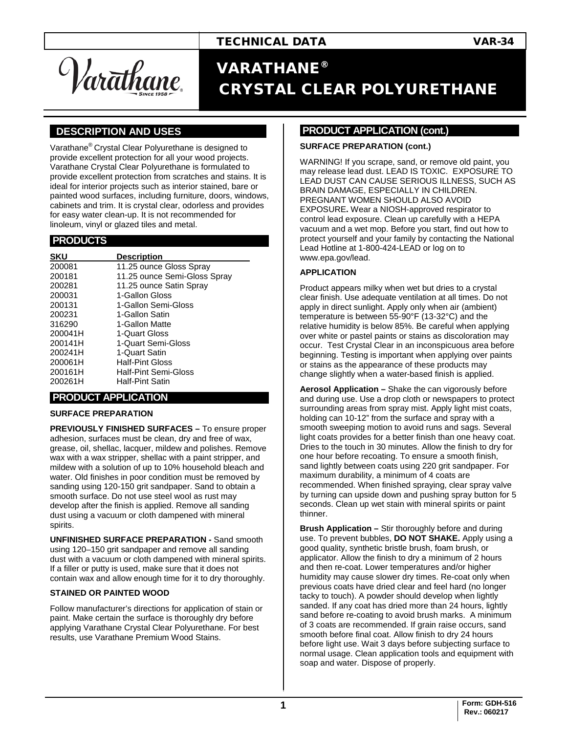Var<del>a</del>thane.

# VARATHANE® CRYSTAL CLEAR POLYURETHANE

## **].DESCRIPTION AND USES .**

Varathane® Crystal Clear Polyurethane is designed to provide excellent protection for all your wood projects. Varathane Crystal Clear Polyurethane is formulated to provide excellent protection from scratches and stains. It is ideal for interior projects such as interior stained, bare or painted wood surfaces, including furniture, doors, windows, cabinets and trim. It is crystal clear, odorless and provides for easy water clean-up. It is not recommended for linoleum, vinyl or glazed tiles and metal.

#### **.PRODUCTS .**

| <b>SKU</b> | <b>Description</b>           |
|------------|------------------------------|
| 200081     | 11.25 ounce Gloss Spray      |
| 200181     | 11.25 ounce Semi-Gloss Spray |
| 200281     | 11.25 ounce Satin Spray      |
| 200031     | 1-Gallon Gloss               |
| 200131     | 1-Gallon Semi-Gloss          |
| 200231     | 1-Gallon Satin               |
| 316290     | 1-Gallon Matte               |
| 200041H    | 1-Quart Gloss                |
| 200141H    | 1-Quart Semi-Gloss           |
| 200241H    | 1-Quart Satin                |
| 200061H    | <b>Half-Pint Gloss</b>       |
| 200161H    | Half-Pint Semi-Gloss         |
| 200261H    | <b>Half-Pint Satin</b>       |

#### **.PRODUCT APPLICATION .**

#### **SURFACE PREPARATION**

**PREVIOUSLY FINISHED SURFACES –** To ensure proper adhesion, surfaces must be clean, dry and free of wax, grease, oil, shellac, lacquer, mildew and polishes. Remove wax with a wax stripper, shellac with a paint stripper, and mildew with a solution of up to 10% household bleach and water. Old finishes in poor condition must be removed by sanding using 120-150 grit sandpaper. Sand to obtain a smooth surface. Do not use steel wool as rust may develop after the finish is applied. Remove all sanding dust using a vacuum or cloth dampened with mineral spirits.

**UNFINISHED SURFACE PREPARATION -** Sand smooth using 120–150 grit sandpaper and remove all sanding dust with a vacuum or cloth dampened with mineral spirits. If a filler or putty is used, make sure that it does not contain wax and allow enough time for it to dry thoroughly.

#### **STAINED OR PAINTED WOOD**

Follow manufacturer's directions for application of stain or paint. Make certain the surface is thoroughly dry before applying Varathane Crystal Clear Polyurethane. For best results, use Varathane Premium Wood Stains.

#### **PRODUCT APPLICATION (cont.)**

#### **SURFACE PREPARATION (cont.)**

WARNING! If you scrape, sand, or remove old paint, you may release lead dust. LEAD IS TOXIC. EXPOSURE TO LEAD DUST CAN CAUSE SERIOUS ILLNESS, SUCH AS BRAIN DAMAGE, ESPECIALLY IN CHILDREN. PREGNANT WOMEN SHOULD ALSO AVOID EXPOSURE**.** Wear a NIOSH-approved respirator to control lead exposure. Clean up carefully with a HEPA vacuum and a wet mop. Before you start, find out how to protect yourself and your family by contacting the National Lead Hotline at 1-800-424-LEAD or log on to www.epa.gov/lead.

#### **APPLICATION**

Product appears milky when wet but dries to a crystal clear finish. Use adequate ventilation at all times. Do not apply in direct sunlight. Apply only when air (ambient) temperature is between 55-90°F (13-32°C) and the relative humidity is below 85%. Be careful when applying over white or pastel paints or stains as discoloration may occur. Test Crystal Clear in an inconspicuous area before beginning. Testing is important when applying over paints or stains as the appearance of these products may change slightly when a water-based finish is applied.

**Aerosol Application –** Shake the can vigorously before and during use. Use a drop cloth or newspapers to protect surrounding areas from spray mist. Apply light mist coats, holding can 10-12" from the surface and spray with a smooth sweeping motion to avoid runs and sags. Several light coats provides for a better finish than one heavy coat. Dries to the touch in 30 minutes. Allow the finish to dry for one hour before recoating. To ensure a smooth finish, sand lightly between coats using 220 grit sandpaper. For maximum durability, a minimum of 4 coats are recommended. When finished spraying, clear spray valve by turning can upside down and pushing spray button for 5 seconds. Clean up wet stain with mineral spirits or paint thinner.

**Brush Application –** Stir thoroughly before and during use. To prevent bubbles, **DO NOT SHAKE.** Apply using a good quality, synthetic bristle brush, foam brush, or applicator. Allow the finish to dry a minimum of 2 hours and then re-coat. Lower temperatures and/or higher humidity may cause slower dry times. Re-coat only when previous coats have dried clear and feel hard (no longer tacky to touch). A powder should develop when lightly sanded. If any coat has dried more than 24 hours, lightly sand before re-coating to avoid brush marks. A minimum of 3 coats are recommended. If grain raise occurs, sand smooth before final coat. Allow finish to dry 24 hours before light use. Wait 3 days before subjecting surface to normal usage. Clean application tools and equipment with soap and water. Dispose of properly.